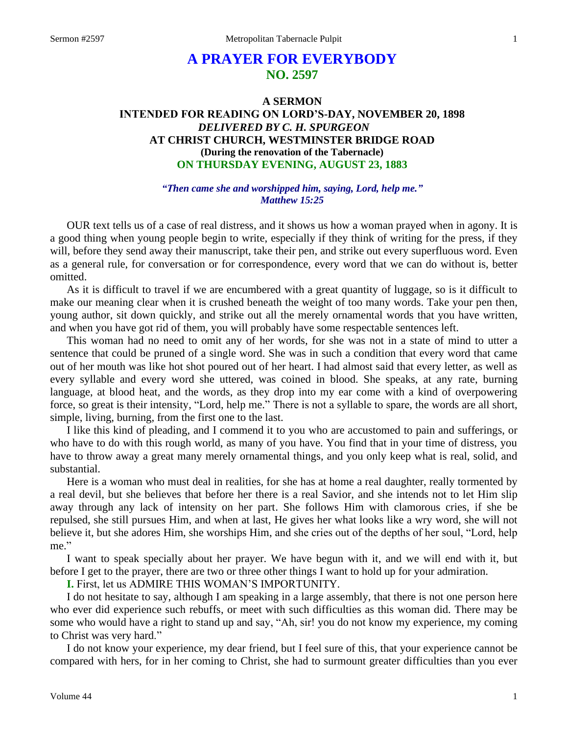# **A PRAYER FOR EVERYBODY NO. 2597**

# **A SERMON INTENDED FOR READING ON LORD'S-DAY, NOVEMBER 20, 1898** *DELIVERED BY C. H. SPURGEON* **AT CHRIST CHURCH, WESTMINSTER BRIDGE ROAD (During the renovation of the Tabernacle) ON THURSDAY EVENING, AUGUST 23, 1883**

*"Then came she and worshipped him, saying, Lord, help me." Matthew 15:25*

OUR text tells us of a case of real distress, and it shows us how a woman prayed when in agony. It is a good thing when young people begin to write, especially if they think of writing for the press, if they will, before they send away their manuscript, take their pen, and strike out every superfluous word. Even as a general rule, for conversation or for correspondence, every word that we can do without is, better omitted.

As it is difficult to travel if we are encumbered with a great quantity of luggage, so is it difficult to make our meaning clear when it is crushed beneath the weight of too many words. Take your pen then, young author, sit down quickly, and strike out all the merely ornamental words that you have written, and when you have got rid of them, you will probably have some respectable sentences left.

This woman had no need to omit any of her words, for she was not in a state of mind to utter a sentence that could be pruned of a single word. She was in such a condition that every word that came out of her mouth was like hot shot poured out of her heart. I had almost said that every letter, as well as every syllable and every word she uttered, was coined in blood. She speaks, at any rate, burning language, at blood heat, and the words, as they drop into my ear come with a kind of overpowering force, so great is their intensity, "Lord, help me." There is not a syllable to spare, the words are all short, simple, living, burning, from the first one to the last.

I like this kind of pleading, and I commend it to you who are accustomed to pain and sufferings, or who have to do with this rough world, as many of you have. You find that in your time of distress, you have to throw away a great many merely ornamental things, and you only keep what is real, solid, and substantial.

Here is a woman who must deal in realities, for she has at home a real daughter, really tormented by a real devil, but she believes that before her there is a real Savior, and she intends not to let Him slip away through any lack of intensity on her part. She follows Him with clamorous cries, if she be repulsed, she still pursues Him, and when at last, He gives her what looks like a wry word, she will not believe it, but she adores Him, she worships Him, and she cries out of the depths of her soul, "Lord, help me."

I want to speak specially about her prayer. We have begun with it, and we will end with it, but before I get to the prayer, there are two or three other things I want to hold up for your admiration.

**I.** First, let us ADMIRE THIS WOMAN'S IMPORTUNITY.

I do not hesitate to say, although I am speaking in a large assembly, that there is not one person here who ever did experience such rebuffs, or meet with such difficulties as this woman did. There may be some who would have a right to stand up and say, "Ah, sir! you do not know my experience, my coming to Christ was very hard."

I do not know your experience, my dear friend, but I feel sure of this, that your experience cannot be compared with hers, for in her coming to Christ, she had to surmount greater difficulties than you ever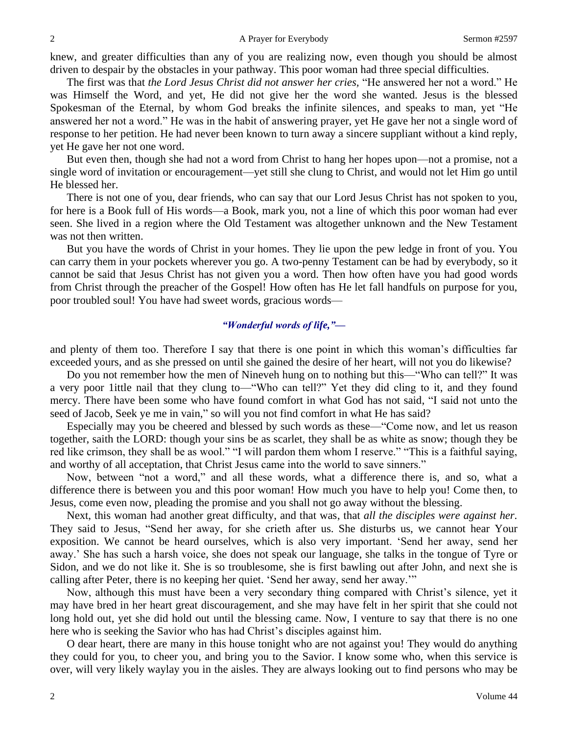knew, and greater difficulties than any of you are realizing now, even though you should be almost driven to despair by the obstacles in your pathway. This poor woman had three special difficulties.

The first was that *the Lord Jesus Christ did not answer her cries,* "He answered her not a word." He was Himself the Word, and yet, He did not give her the word she wanted. Jesus is the blessed Spokesman of the Eternal, by whom God breaks the infinite silences, and speaks to man, yet "He answered her not a word." He was in the habit of answering prayer, yet He gave her not a single word of response to her petition. He had never been known to turn away a sincere suppliant without a kind reply, yet He gave her not one word.

But even then, though she had not a word from Christ to hang her hopes upon—not a promise, not a single word of invitation or encouragement—yet still she clung to Christ, and would not let Him go until He blessed her.

There is not one of you, dear friends, who can say that our Lord Jesus Christ has not spoken to you, for here is a Book full of His words—a Book, mark you, not a line of which this poor woman had ever seen. She lived in a region where the Old Testament was altogether unknown and the New Testament was not then written.

But you have the words of Christ in your homes. They lie upon the pew ledge in front of you. You can carry them in your pockets wherever you go. A two-penny Testament can be had by everybody, so it cannot be said that Jesus Christ has not given you a word. Then how often have you had good words from Christ through the preacher of the Gospel! How often has He let fall handfuls on purpose for you, poor troubled soul! You have had sweet words, gracious words—

#### *"Wonderful words of life,"—*

and plenty of them too. Therefore I say that there is one point in which this woman's difficulties far exceeded yours, and as she pressed on until she gained the desire of her heart, will not you do likewise?

Do you not remember how the men of Nineveh hung on to nothing but this—"Who can tell?" It was a very poor 1ittle nail that they clung to—"Who can tell?" Yet they did cling to it, and they found mercy. There have been some who have found comfort in what God has not said, "I said not unto the seed of Jacob, Seek ye me in vain," so will you not find comfort in what He has said?

Especially may you be cheered and blessed by such words as these—"Come now, and let us reason together, saith the LORD: though your sins be as scarlet, they shall be as white as snow; though they be red like crimson, they shall be as wool." "I will pardon them whom I reserve." "This is a faithful saying, and worthy of all acceptation, that Christ Jesus came into the world to save sinners."

Now, between "not a word," and all these words, what a difference there is, and so, what a difference there is between you and this poor woman! How much you have to help you! Come then, to Jesus, come even now, pleading the promise and you shall not go away without the blessing.

Next, this woman had another great difficulty, and that was, that *all the disciples were against her.*  They said to Jesus, "Send her away, for she crieth after us. She disturbs us, we cannot hear Your exposition. We cannot be heard ourselves, which is also very important. 'Send her away, send her away.' She has such a harsh voice, she does not speak our language, she talks in the tongue of Tyre or Sidon, and we do not like it. She is so troublesome, she is first bawling out after John, and next she is calling after Peter, there is no keeping her quiet. 'Send her away, send her away.'"

Now, although this must have been a very secondary thing compared with Christ's silence, yet it may have bred in her heart great discouragement, and she may have felt in her spirit that she could not long hold out, yet she did hold out until the blessing came. Now, I venture to say that there is no one here who is seeking the Savior who has had Christ's disciples against him.

O dear heart, there are many in this house tonight who are not against you! They would do anything they could for you, to cheer you, and bring you to the Savior. I know some who, when this service is over, will very likely waylay you in the aisles. They are always looking out to find persons who may be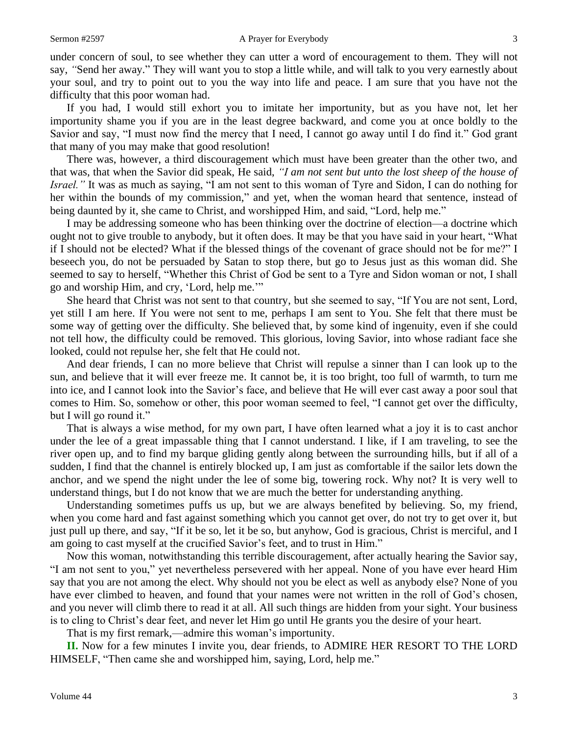under concern of soul, to see whether they can utter a word of encouragement to them. They will not say, *"*Send her away." They will want you to stop a little while, and will talk to you very earnestly about your soul, and try to point out to you the way into life and peace. I am sure that you have not the difficulty that this poor woman had.

If you had, I would still exhort you to imitate her importunity, but as you have not, let her importunity shame you if you are in the least degree backward, and come you at once boldly to the Savior and say, "I must now find the mercy that I need, I cannot go away until I do find it." God grant that many of you may make that good resolution!

There was, however, a third discouragement which must have been greater than the other two, and that was, that when the Savior did speak, He said, *"I am not sent but unto the lost sheep of the house of Israel."* It was as much as saying, "I am not sent to this woman of Tyre and Sidon, I can do nothing for her within the bounds of my commission," and yet, when the woman heard that sentence, instead of being daunted by it, she came to Christ, and worshipped Him, and said, "Lord, help me."

I may be addressing someone who has been thinking over the doctrine of election—a doctrine which ought not to give trouble to anybody, but it often does. It may be that you have said in your heart, "What if I should not be elected? What if the blessed things of the covenant of grace should not be for me?" I beseech you, do not be persuaded by Satan to stop there, but go to Jesus just as this woman did. She seemed to say to herself, "Whether this Christ of God be sent to a Tyre and Sidon woman or not, I shall go and worship Him, and cry, 'Lord, help me.'"

She heard that Christ was not sent to that country, but she seemed to say, "If You are not sent, Lord, yet still I am here. If You were not sent to me, perhaps I am sent to You. She felt that there must be some way of getting over the difficulty. She believed that, by some kind of ingenuity, even if she could not tell how, the difficulty could be removed. This glorious, loving Savior, into whose radiant face she looked, could not repulse her, she felt that He could not.

And dear friends, I can no more believe that Christ will repulse a sinner than I can look up to the sun, and believe that it will ever freeze me. It cannot be, it is too bright, too full of warmth, to turn me into ice, and I cannot look into the Savior's face, and believe that He will ever cast away a poor soul that comes to Him. So, somehow or other, this poor woman seemed to feel, "I cannot get over the difficulty, but I will go round it."

That is always a wise method, for my own part, I have often learned what a joy it is to cast anchor under the lee of a great impassable thing that I cannot understand. I like, if I am traveling, to see the river open up, and to find my barque gliding gently along between the surrounding hills, but if all of a sudden, I find that the channel is entirely blocked up, I am just as comfortable if the sailor lets down the anchor, and we spend the night under the lee of some big, towering rock. Why not? It is very well to understand things, but I do not know that we are much the better for understanding anything.

Understanding sometimes puffs us up, but we are always benefited by believing. So, my friend, when you come hard and fast against something which you cannot get over, do not try to get over it, but just pull up there, and say, "If it be so, let it be so, but anyhow, God is gracious, Christ is merciful, and I am going to cast myself at the crucified Savior's feet, and to trust in Him."

Now this woman, notwithstanding this terrible discouragement, after actually hearing the Savior say, "I am not sent to you," yet nevertheless persevered with her appeal. None of you have ever heard Him say that you are not among the elect. Why should not you be elect as well as anybody else? None of you have ever climbed to heaven, and found that your names were not written in the roll of God's chosen, and you never will climb there to read it at all. All such things are hidden from your sight. Your business is to cling to Christ's dear feet, and never let Him go until He grants you the desire of your heart.

That is my first remark,—admire this woman's importunity.

**II.** Now for a few minutes I invite you, dear friends, to ADMIRE HER RESORT TO THE LORD HIMSELF, "Then came she and worshipped him, saying, Lord, help me."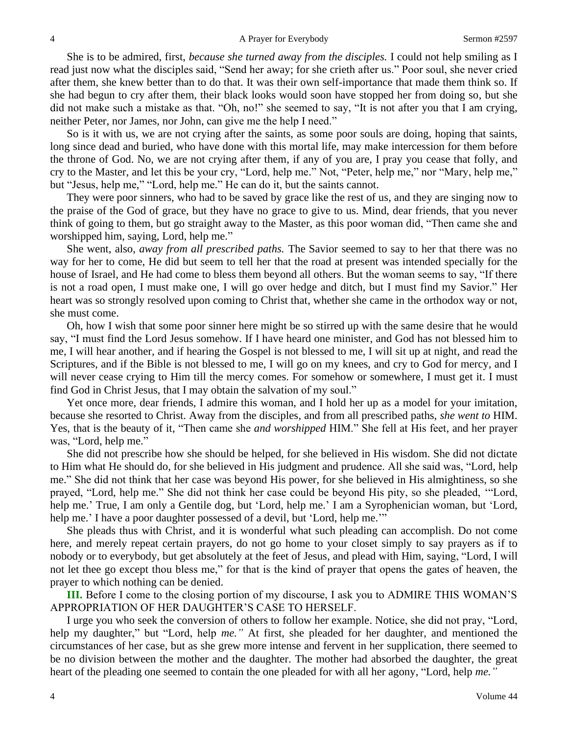She is to be admired, first, *because she turned away from the disciples.* I could not help smiling as I read just now what the disciples said, "Send her away; for she crieth after us." Poor soul, she never cried after them, she knew better than to do that. It was their own self-importance that made them think so. If she had begun to cry after them, their black looks would soon have stopped her from doing so, but she did not make such a mistake as that. "Oh, no!" she seemed to say, "It is not after you that I am crying, neither Peter, nor James, nor John, can give me the help I need."

So is it with us, we are not crying after the saints, as some poor souls are doing, hoping that saints, long since dead and buried, who have done with this mortal life, may make intercession for them before the throne of God. No, we are not crying after them, if any of you are, I pray you cease that folly, and cry to the Master, and let this be your cry, "Lord, help me." Not, "Peter, help me," nor "Mary, help me," but "Jesus, help me," "Lord, help me." He can do it, but the saints cannot.

They were poor sinners, who had to be saved by grace like the rest of us, and they are singing now to the praise of the God of grace, but they have no grace to give to us. Mind, dear friends, that you never think of going to them, but go straight away to the Master, as this poor woman did, "Then came she and worshipped him, saying, Lord, help me."

She went, also, *away from all prescribed paths.* The Savior seemed to say to her that there was no way for her to come, He did but seem to tell her that the road at present was intended specially for the house of Israel, and He had come to bless them beyond all others. But the woman seems to say, "If there is not a road open, I must make one, I will go over hedge and ditch, but I must find my Savior." Her heart was so strongly resolved upon coming to Christ that, whether she came in the orthodox way or not, she must come.

Oh, how I wish that some poor sinner here might be so stirred up with the same desire that he would say, "I must find the Lord Jesus somehow. If I have heard one minister, and God has not blessed him to me, I will hear another, and if hearing the Gospel is not blessed to me, I will sit up at night, and read the Scriptures, and if the Bible is not blessed to me, I will go on my knees, and cry to God for mercy, and I will never cease crying to Him till the mercy comes. For somehow or somewhere, I must get it. I must find God in Christ Jesus, that I may obtain the salvation of my soul."

Yet once more, dear friends, I admire this woman, and I hold her up as a model for your imitation, because she resorted to Christ. Away from the disciples, and from all prescribed paths, *she went to* HIM. Yes, that is the beauty of it, "Then came she *and worshipped* HIM." She fell at His feet, and her prayer was, "Lord, help me."

She did not prescribe how she should be helped, for she believed in His wisdom. She did not dictate to Him what He should do, for she believed in His judgment and prudence. All she said was, "Lord, help me." She did not think that her case was beyond His power, for she believed in His almightiness, so she prayed, "Lord, help me." She did not think her case could be beyond His pity, so she pleaded, '"Lord, help me.' True, I am only a Gentile dog, but 'Lord, help me.' I am a Syrophenician woman, but 'Lord, help me.' I have a poor daughter possessed of a devil, but 'Lord, help me.'"

She pleads thus with Christ, and it is wonderful what such pleading can accomplish. Do not come here, and merely repeat certain prayers, do not go home to your closet simply to say prayers as if to nobody or to everybody, but get absolutely at the feet of Jesus, and plead with Him, saying, "Lord, I will not let thee go except thou bless me," for that is the kind of prayer that opens the gates of heaven, the prayer to which nothing can be denied.

**III.** Before I come to the closing portion of my discourse, I ask you to ADMIRE THIS WOMAN'S APPROPRIATION OF HER DAUGHTER'S CASE TO HERSELF.

I urge you who seek the conversion of others to follow her example. Notice, she did not pray, "Lord, help my daughter," but "Lord, help *me."* At first, she pleaded for her daughter, and mentioned the circumstances of her case, but as she grew more intense and fervent in her supplication, there seemed to be no division between the mother and the daughter. The mother had absorbed the daughter, the great heart of the pleading one seemed to contain the one pleaded for with all her agony, "Lord, help *me."*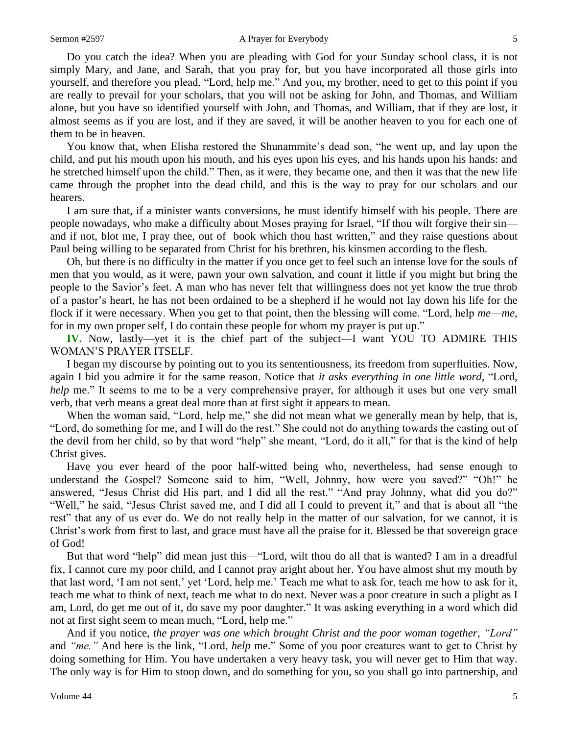Do you catch the idea? When you are pleading with God for your Sunday school class, it is not simply Mary, and Jane, and Sarah, that you pray for, but you have incorporated all those girls into yourself, and therefore you plead, "Lord, help me." And you, my brother, need to get to this point if you are really to prevail for your scholars, that you will not be asking for John, and Thomas, and William alone, but you have so identified yourself with John, and Thomas, and William, that if they are lost, it almost seems as if you are lost, and if they are saved, it will be another heaven to you for each one of them to be in heaven.

You know that, when Elisha restored the Shunammite's dead son, "he went up, and lay upon the child, and put his mouth upon his mouth, and his eyes upon his eyes, and his hands upon his hands: and he stretched himself upon the child." Then, as it were, they became one, and then it was that the new life came through the prophet into the dead child, and this is the way to pray for our scholars and our hearers.

I am sure that, if a minister wants conversions, he must identify himself with his people. There are people nowadays, who make a difficulty about Moses praying for Israel, "If thou wilt forgive their sin and if not, blot me, I pray thee, out of book which thou hast written," and they raise questions about Paul being willing to be separated from Christ for his brethren, his kinsmen according to the flesh.

Oh, but there is no difficulty in the matter if you once get to feel such an intense love for the souls of men that you would, as it were, pawn your own salvation, and count it little if you might but bring the people to the Savior's feet. A man who has never felt that willingness does not yet know the true throb of a pastor's heart, he has not been ordained to be a shepherd if he would not lay down his life for the flock if it were necessary. When you get to that point, then the blessing will come. "Lord, help *me*—*me,* for in my own proper self, I do contain these people for whom my prayer is put up."

**IV.** Now, lastly—yet it is the chief part of the subject—I want YOU TO ADMIRE THIS WOMAN'S PRAYER ITSELF.

I began my discourse by pointing out to you its sententiousness, its freedom from superfluities. Now, again I bid you admire it for the same reason. Notice that *it asks everything in one little word,* "Lord, *help* me." It seems to me to be a very comprehensive prayer, for although it uses but one very small verb, that verb means a great deal more than at first sight it appears to mean.

When the woman said, "Lord, help me," she did not mean what we generally mean by help, that is, "Lord, do something for me, and I will do the rest." She could not do anything towards the casting out of the devil from her child, so by that word "help" she meant, "Lord, do it all," for that is the kind of help Christ gives.

Have you ever heard of the poor half-witted being who, nevertheless, had sense enough to understand the Gospel? Someone said to him, "Well, Johnny, how were you saved?" "Oh!" he answered, "Jesus Christ did His part, and I did all the rest." "And pray Johnny, what did you do?" "Well," he said, "Jesus Christ saved me, and I did all I could to prevent it," and that is about all "the rest" that any of us ever do. We do not really help in the matter of our salvation, for we cannot, it is Christ's work from first to last, and grace must have all the praise for it. Blessed be that sovereign grace of God!

But that word "help" did mean just this—"Lord, wilt thou do all that is wanted? I am in a dreadful fix, I cannot cure my poor child, and I cannot pray aright about her. You have almost shut my mouth by that last word, 'I am not sent,' yet 'Lord, help me.' Teach me what to ask for, teach me how to ask for it, teach me what to think of next, teach me what to do next. Never was a poor creature in such a plight as I am, Lord, do get me out of it, do save my poor daughter." It was asking everything in a word which did not at first sight seem to mean much, "Lord, help me."

And if you notice, *the prayer was one which brought Christ and the poor woman together, "Lord"* and *"me."* And here is the link, "Lord, *help* me." Some of you poor creatures want to get to Christ by doing something for Him. You have undertaken a very heavy task, you will never get to Him that way. The only way is for Him to stoop down, and do something for you, so you shall go into partnership, and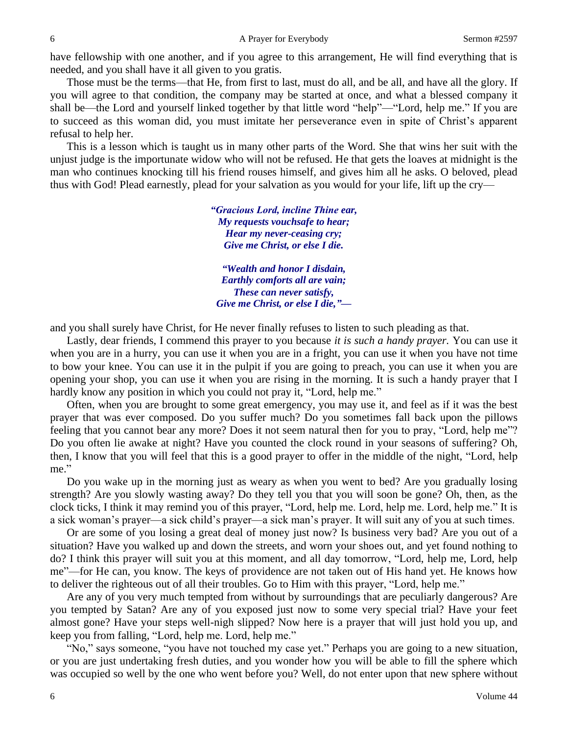have fellowship with one another, and if you agree to this arrangement, He will find everything that is needed, and you shall have it all given to you gratis.

Those must be the terms—that He, from first to last, must do all, and be all, and have all the glory. If you will agree to that condition, the company may be started at once, and what a blessed company it shall be—the Lord and yourself linked together by that little word "help"—"Lord, help me." If you are to succeed as this woman did, you must imitate her perseverance even in spite of Christ's apparent refusal to help her.

This is a lesson which is taught us in many other parts of the Word. She that wins her suit with the unjust judge is the importunate widow who will not be refused. He that gets the loaves at midnight is the man who continues knocking till his friend rouses himself, and gives him all he asks. O beloved, plead thus with God! Plead earnestly, plead for your salvation as you would for your life, lift up the cry—

> *"Gracious Lord, incline Thine ear, My requests vouchsafe to hear; Hear my never-ceasing cry; Give me Christ, or else I die.*

*"Wealth and honor I disdain, Earthly comforts all are vain; These can never satisfy, Give me Christ, or else I die,"—*

and you shall surely have Christ, for He never finally refuses to listen to such pleading as that.

Lastly, dear friends, I commend this prayer to you because *it is such a handy prayer.* You can use it when you are in a hurry, you can use it when you are in a fright, you can use it when you have not time to bow your knee. You can use it in the pulpit if you are going to preach, you can use it when you are opening your shop, you can use it when you are rising in the morning. It is such a handy prayer that I hardly know any position in which you could not pray it, "Lord, help me."

Often, when you are brought to some great emergency, you may use it, and feel as if it was the best prayer that was ever composed. Do you suffer much? Do you sometimes fall back upon the pillows feeling that you cannot bear any more? Does it not seem natural then for you to pray, "Lord, help me"? Do you often lie awake at night? Have you counted the clock round in your seasons of suffering? Oh, then, I know that you will feel that this is a good prayer to offer in the middle of the night, "Lord, help me."

Do you wake up in the morning just as weary as when you went to bed? Are you gradually losing strength? Are you slowly wasting away? Do they tell you that you will soon be gone? Oh, then, as the clock ticks, I think it may remind you of this prayer, "Lord, help me. Lord, help me. Lord, help me." It is a sick woman's prayer—a sick child's prayer—a sick man's prayer. It will suit any of you at such times.

Or are some of you losing a great deal of money just now? Is business very bad? Are you out of a situation? Have you walked up and down the streets, and worn your shoes out, and yet found nothing to do? I think this prayer will suit you at this moment, and all day tomorrow, "Lord, help me, Lord, help me"—for He can, you know. The keys of providence are not taken out of His hand yet. He knows how to deliver the righteous out of all their troubles. Go to Him with this prayer, "Lord, help me."

Are any of you very much tempted from without by surroundings that are peculiarly dangerous? Are you tempted by Satan? Are any of you exposed just now to some very special trial? Have your feet almost gone? Have your steps well-nigh slipped? Now here is a prayer that will just hold you up, and keep you from falling, "Lord, help me. Lord, help me."

"No," says someone, "you have not touched my case yet." Perhaps you are going to a new situation, or you are just undertaking fresh duties, and you wonder how you will be able to fill the sphere which was occupied so well by the one who went before you? Well, do not enter upon that new sphere without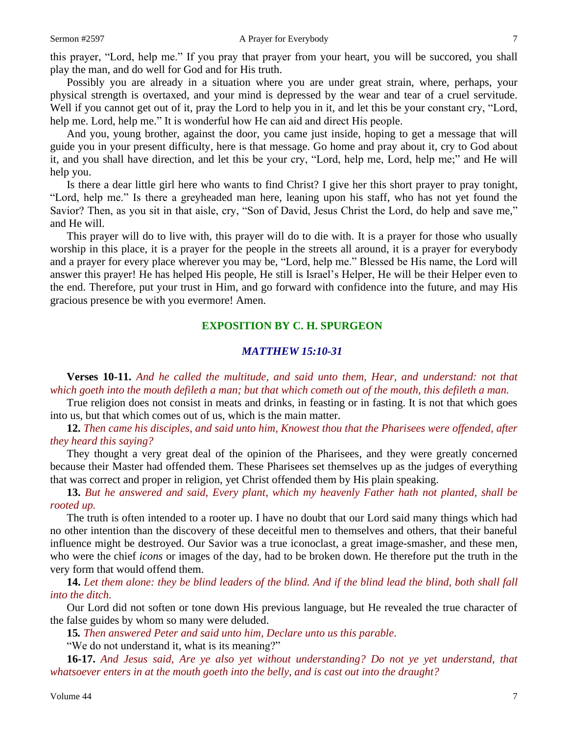this prayer, "Lord, help me." If you pray that prayer from your heart, you will be succored, you shall play the man, and do well for God and for His truth.

Possibly you are already in a situation where you are under great strain, where, perhaps, your physical strength is overtaxed, and your mind is depressed by the wear and tear of a cruel servitude. Well if you cannot get out of it, pray the Lord to help you in it, and let this be your constant cry, "Lord, help me. Lord, help me." It is wonderful how He can aid and direct His people.

And you, young brother, against the door, you came just inside, hoping to get a message that will guide you in your present difficulty, here is that message. Go home and pray about it, cry to God about it, and you shall have direction, and let this be your cry, "Lord, help me, Lord, help me;" and He will help you.

Is there a dear little girl here who wants to find Christ? I give her this short prayer to pray tonight, "Lord, help me." Is there a greyheaded man here, leaning upon his staff, who has not yet found the Savior? Then, as you sit in that aisle, cry, "Son of David, Jesus Christ the Lord, do help and save me," and He will.

This prayer will do to live with, this prayer will do to die with. It is a prayer for those who usually worship in this place, it is a prayer for the people in the streets all around, it is a prayer for everybody and a prayer for every place wherever you may be, "Lord, help me." Blessed be His name, the Lord will answer this prayer! He has helped His people, He still is Israel's Helper, He will be their Helper even to the end. Therefore, put your trust in Him, and go forward with confidence into the future, and may His gracious presence be with you evermore! Amen.

#### **EXPOSITION BY C. H. SPURGEON**

# *MATTHEW 15:10-31*

**Verses 10-11.** *And he called the multitude, and said unto them, Hear, and understand: not that which goeth into the mouth defileth a man; but that which cometh out of the mouth, this defileth a man.*

True religion does not consist in meats and drinks, in feasting or in fasting. It is not that which goes into us, but that which comes out of us, which is the main matter.

**12.** *Then came his disciples, and said unto him, Knowest thou that the Pharisees were offended, after they heard this saying?*

They thought a very great deal of the opinion of the Pharisees, and they were greatly concerned because their Master had offended them. These Pharisees set themselves up as the judges of everything that was correct and proper in religion, yet Christ offended them by His plain speaking.

**13.** *But he answered and said, Every plant, which my heavenly Father hath not planted, shall be rooted up.*

The truth is often intended to a rooter up. I have no doubt that our Lord said many things which had no other intention than the discovery of these deceitful men to themselves and others, that their baneful influence might be destroyed. Our Savior was a true iconoclast, a great image-smasher, and these men, who were the chief *icons* or images of the day, had to be broken down. He therefore put the truth in the very form that would offend them.

**14.** *Let them alone: they be blind leaders of the blind. And if the blind lead the blind, both shall fall into the ditch.*

Our Lord did not soften or tone down His previous language, but He revealed the true character of the false guides by whom so many were deluded.

**15***. Then answered Peter and said unto him, Declare unto us this parable*.

"We do not understand it, what is its meaning?"

**16-17.** *And Jesus said, Are ye also yet without understanding? Do not ye yet understand, that whatsoever enters in at the mouth goeth into the belly, and is cast out into the draught?*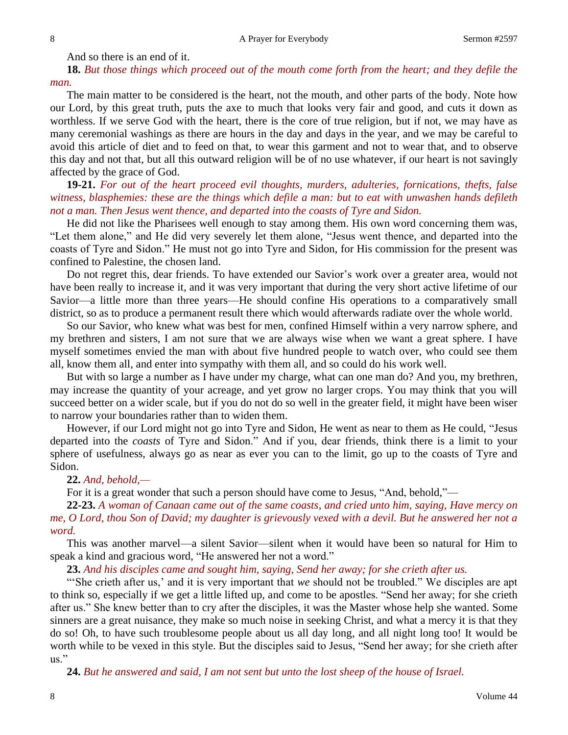And so there is an end of it.

**18.** *But those things which proceed out of the mouth come forth from the heart; and they defile the man.*

The main matter to be considered is the heart, not the mouth, and other parts of the body. Note how our Lord, by this great truth, puts the axe to much that looks very fair and good, and cuts it down as worthless. If we serve God with the heart, there is the core of true religion, but if not, we may have as many ceremonial washings as there are hours in the day and days in the year, and we may be careful to avoid this article of diet and to feed on that, to wear this garment and not to wear that, and to observe this day and not that, but all this outward religion will be of no use whatever, if our heart is not savingly affected by the grace of God.

**19-21.** *For out of the heart proceed evil thoughts, murders, adulteries, fornications, thefts, false witness, blasphemies: these are the things which defile a man: but to eat with unwashen hands defileth not a man. Then Jesus went thence, and departed into the coasts of Tyre and Sidon.*

He did not like the Pharisees well enough to stay among them. His own word concerning them was, "Let them alone," and He did very severely let them alone, "Jesus went thence, and departed into the coasts of Tyre and Sidon." He must not go into Tyre and Sidon, for His commission for the present was confined to Palestine, the chosen land.

Do not regret this, dear friends. To have extended our Savior's work over a greater area, would not have been really to increase it, and it was very important that during the very short active lifetime of our Savior—a little more than three years—He should confine His operations to a comparatively small district, so as to produce a permanent result there which would afterwards radiate over the whole world.

So our Savior, who knew what was best for men, confined Himself within a very narrow sphere, and my brethren and sisters, I am not sure that we are always wise when we want a great sphere. I have myself sometimes envied the man with about five hundred people to watch over, who could see them all, know them all, and enter into sympathy with them all, and so could do his work well.

But with so large a number as I have under my charge, what can one man do? And you, my brethren, may increase the quantity of your acreage, and yet grow no larger crops. You may think that you will succeed better on a wider scale, but if you do not do so well in the greater field, it might have been wiser to narrow your boundaries rather than to widen them.

However, if our Lord might not go into Tyre and Sidon, He went as near to them as He could, "Jesus departed into the *coasts* of Tyre and Sidon." And if you, dear friends, think there is a limit to your sphere of usefulness, always go as near as ever you can to the limit, go up to the coasts of Tyre and Sidon.

### **22.** *And, behold,—*

For it is a great wonder that such a person should have come to Jesus, "And, behold,"—

**22-23.** *A woman of Canaan came out of the same coasts, and cried unto him, saying, Have mercy on me, O Lord, thou Son of David; my daughter is grievously vexed with a devil. But he answered her not a word.*

This was another marvel—a silent Savior—silent when it would have been so natural for Him to speak a kind and gracious word, "He answered her not a word."

**23.** *And his disciples came and sought him, saying, Send her away; for she crieth after us.*

"'She crieth after us,' and it is very important that *we* should not be troubled." We disciples are apt to think so, especially if we get a little lifted up, and come to be apostles. "Send her away; for she crieth after us." She knew better than to cry after the disciples, it was the Master whose help she wanted. Some sinners are a great nuisance, they make so much noise in seeking Christ, and what a mercy it is that they do so! Oh, to have such troublesome people about us all day long, and all night long too! It would be worth while to be vexed in this style. But the disciples said to Jesus, "Send her away; for she crieth after us."

**24.** *But he answered and said, I am not sent but unto the lost sheep of the house of Israel.*